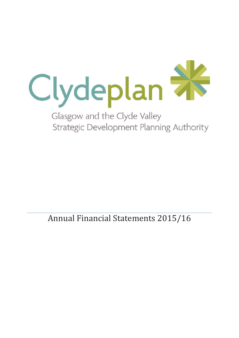

Annual Financial Statements 2015/16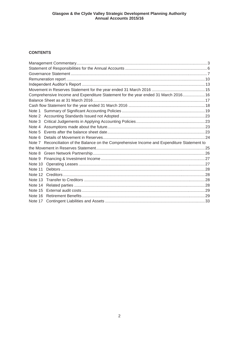# **CONTENTS**

|         | Comprehensive Income and Expenditure Statement for the year ended 31 March 2016 16            |  |
|---------|-----------------------------------------------------------------------------------------------|--|
|         |                                                                                               |  |
|         |                                                                                               |  |
| Note 1  |                                                                                               |  |
|         |                                                                                               |  |
|         |                                                                                               |  |
|         |                                                                                               |  |
| Note 5  |                                                                                               |  |
| Note 6  |                                                                                               |  |
|         | Note 7 Reconciliation of the Balance on the Comprehensive Income and Expenditure Statement to |  |
|         |                                                                                               |  |
|         |                                                                                               |  |
|         |                                                                                               |  |
|         |                                                                                               |  |
| Note 11 |                                                                                               |  |
|         |                                                                                               |  |
| Note 13 |                                                                                               |  |
| Note 14 |                                                                                               |  |
|         |                                                                                               |  |
| Note 16 |                                                                                               |  |
|         |                                                                                               |  |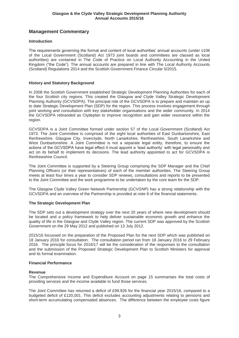# **Management Commentary**

## **Introduction**

The requirements governing the format and content of local authorities' annual accounts (under s106 of the Local Government (Scotland) Act 1973 joint boards and committees are classed as local authorities) are contained in The Code of Practice on Local Authority Accounting in the United Kingdom ("the Code"). The annual accounts are prepared in line with The Local Authority Accounts (Scotland) Regulations 2014 and the Scottish Government Finance Circular 5/2015.

## **History and Statutory Background**

In 2008 the Scottish Government established Strategic Development Planning Authorities for each of the four Scottish city regions. This created the Glasgow and Clyde Valley Strategic Development Planning Authority (GCVSDPA). The principal role of the GCVSDPA is to prepare and maintain an up to date Strategic Development Plan (SDP) for the region. This process involves engagement through joint working and consultation with key stakeholder organisations and the wider community. In 2014 the GCVSDPA rebranded as Clydeplan to improve recognition and gain wider resonance within the region.

GCVSDPA is a Joint Committee formed under section 57 of the Local Government (Scotland) Act 1973. The Joint Committee is comprised of the eight local authorities of East Dunbartonshire, East Renfrewshire, Glasgow City, Inverclyde, North Lanarkshire, Renfrewshire, South Lanarkshire and West Dunbartonshire. A Joint Committee is not a separate legal entity, therefore, to ensure the actions of the GCVSDPA have legal effect it must appoint a 'lead authority' with legal personality and act on its behalf to implement its decisions. The lead authority appointed to act for GCVSDPA is Renfrewshire Council.

The Joint Committee is supported by a Steering Group comprising the SDP Manager and the Chief Planning Officers (or their representatives) of each of the member authorities. The Steering Group meets at least four times a year to consider SDP reviews, consultations and reports to be presented to the Joint Committee and the work programme to be undertaken by the core team for the SDP.

The Glasgow Clyde Valley Green Network Partnership (GCVGNP) has a strong relationship with the GCVSDPA and an overview of the Partnership is provided at note 8 of the financial statements.

## **The Strategic Development Plan**

The SDP sets out a development strategy over the next 20 years of where new development should be located and a policy framework to help deliver sustainable economic growth and enhance the quality of life in the Glasgow and Clyde Valley region. The current SDP was approved by the Scottish Government on the 29 May 2012 and published on 13 July 2012.

2015/16 focussed on the preparation of the Proposed Plan for the next SDP which was published on 18 January 2016 for consultation. The consultation period ran from 18 January 2016 to 29 February 2016. The principle focus for 2016/17 will be the consideration of the responses to the consultation and the submission of the Proposed Strategic Development Plan to Scottish Ministers for approval and its formal examination.

## **Financial Performance**

## **Revenue**

The Comprehensive Income and Expenditure Account on page 15 summarises the total costs of providing services and the income available to fund those services.

The Joint Committee has returned a deficit of £99,926 for the financial year 2015/16, compared to a budgeted deficit of £120,001. This deficit excludes accounting adjustments relating to pensions and short-term accumulating compensated absences. The difference between the employee costs figure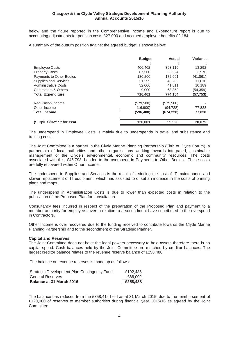below and the figure reported in the Comprehensive Income and Expenditure report is due to accounting adjustments for pension costs £27,000 and accrued employee benefits £2,184.

A summary of the outturn position against the agreed budget is shown below:

|                             | <b>Budget</b><br>£ | Actual<br>£ | Variance<br>£ |
|-----------------------------|--------------------|-------------|---------------|
| <b>Employee Costs</b>       | 406.402            | 393,110     | 13,292        |
| <b>Property Costs</b>       | 67,500             | 63.524      | 3.976         |
| Payments to Other Bodies    | 130,200            | 172.061     | (41, 861)     |
| Supplies and Services       | 51,299             | 40.289      | 11,010        |
| <b>Administrative Costs</b> | 52,000             | 41.811      | 10,189        |
| Contractors & Others        | 9.000              | 63,359      | (54,359)      |
| <b>Total Expenditure</b>    | 716,401            | 774,154     | (57,753)      |
| Requisition Income          | (579,500)          | (579, 500)  |               |
| Other Income                | (16.900)           | (94,728)    | 77,828        |
| <b>Total Income</b>         | (596, 400)         | (674, 228)  | 77,828        |
| (Surplus)/Deficit for Year  | 120,001            | 99,926      | 20.075        |

The underspend in Employee Costs is mainly due to underspends in travel and subsistence and training costs.

The Joint Committee is a partner in the Clyde Marine Planning Partnership (Firth of Clyde Forum), a partnership of local authorities and other organisations working towards integrated, sustainable management of the Clyde's environmental, economic and community resources. The costs associated with this, £45,798, has led to the overspend in Payments to Other Bodies. These costs are fully recovered within Other Income.

The underspend in Supplies and Services is the result of reducing the cost of IT maintenance and slower replacement of IT equipment, which has assisted to offset an increase in the costs of printing plans and maps.

The underspend in Administration Costs is due to lower than expected costs in relation to the publication of the Proposed Plan for consultation.

Consultancy fees incurred in respect of the preparation of the Proposed Plan and payment to a member authority for employee cover in relation to a secondment have contributed to the overspend in Contractors.

Other Income is over recovered due to the funding received to contribute towards the Clyde Marine Planning Partnership and to the secondment of the Strategic Planner.

#### **Capital and Reserves**

The Joint Committee does not have the legal powers necessary to hold assets therefore there is no capital spend. Cash balances held by the Joint Committee are matched by creditor balances. The largest creditor balance relates to the revenue reserve balance of £258,488.

The balance on revenue reserves is made up as follows:

| Strategic Development Plan Contingency Fund | £192.486 |
|---------------------------------------------|----------|
| General Reserves                            | £66.002  |
| Balance at 31 March 2016                    | £258.488 |

The balance has reduced from the £358,414 held as at 31 March 2015, due to the reimbursement of £120,000 of reserves to member authorities during financial year 2015/16 as agreed by the Joint Committee.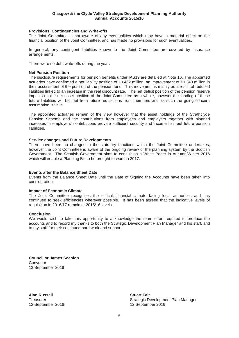#### **Provisions, Contingencies and Write-offs**

The Joint Committee is not aware of any eventualities which may have a material effect on the financial position of the Joint Committee, and has made no provisions for such eventualities.

In general, any contingent liabilities known to the Joint Committee are covered by insurance arrangements.

There were no debt write-offs during the year.

#### **Net Pension Position**

The disclosure requirements for pension benefits under IAS19 are detailed at Note 16. The appointed actuaries have confirmed a net liability position of £0.462 million, an improvement of £0.340 million in their assessment of the position of the pension fund. This movement is mainly as a result of reduced liabilities linked to an increase in the real discount rate. The net deficit position of the pension reserve impacts on the net asset position of the Joint Committee as a whole, however the funding of these future liabilities will be met from future requisitions from members and as such the going concern assumption is valid.

The appointed actuaries remain of the view however that the asset holdings of the Strathclyde Pension Scheme and the contributions from employees and employers together with planned increases in employers' contributions provide sufficient security and income to meet future pension liabilities.

#### **Service changes and Future Developments**

There have been no changes to the statutory functions which the Joint Committee undertakes, however the Joint Committee is aware of the ongoing review of the planning system by the Scottish Government. The Scottish Government aims to consult on a White Paper in Autumn/Winter 2016 which will enable a Planning Bill to be brought forward in 2017.

#### **Events after the Balance Sheet Date**

Events from the Balance Sheet Date until the Date of Signing the Accounts have been taken into consideration.

#### **Impact of Economic Climate**

The Joint Committee recognises the difficult financial climate facing local authorities and has continued to seek efficiencies wherever possible. It has been agreed that the indicative levels of requisition in 2016/17 remain at 2015/16 levels.

#### **Conclusion**

We would wish to take this opportunity to acknowledge the team effort required to produce the accounts and to record my thanks to both the Strategic Development Plan Manager and his staff, and to my staff for their continued hard work and support.

**Councillor James Scanlon**  Convenor 12 September 2016

**Alan Russell** Stuart Tait **Stuart Tait** 

Treasurer Strategic Development Plan Manager 12 September 2016 12 September 2016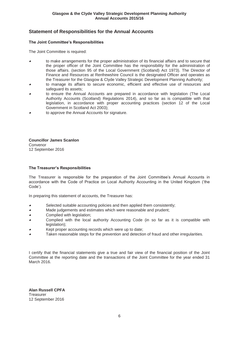# **Statement of Responsibilities for the Annual Accounts**

### **The Joint Committee's Responsibilities**

The Joint Committee is required:

- x to make arrangements for the proper administration of its financial affairs and to secure that the proper officer of the Joint Committee has the responsibility for the administration of those affairs. (section 95 of the Local Government (Scotland) Act 1973). The Director of Finance and Resources at Renfrewshire Council is the designated Officer and operates as the Treasurer for the Glasgow & Clyde Valley Strategic Development Planning Authority;
- x to manage its affairs to secure economic, efficient and effective use of resources and safeguard its assets;
- x to ensure the Annual Accounts are prepared in accordance with legislation (The Local Authority Accounts (Scotland) Regulations 2014), and so far as is compatible with that legislation, in accordance with proper accounting practices (section 12 of the Local Government in Scotland Act 2003);
- xto approve the Annual Accounts for signature.

**Councillor James Scanlon**  Convenor 12 September 2016

#### **The Treasurer's Responsibilities**

The Treasurer is responsible for the preparation of the Joint Committee's Annual Accounts in accordance with the Code of Practice on Local Authority Accounting in the United Kingdom ('the Code').

In preparing this statement of accounts, the Treasurer has:

- $\bullet$ Selected suitable accounting policies and then applied them consistently;
- $\overline{a}$ Made judgements and estimates which were reasonable and prudent;
- $\bullet$ Complied with legislation;
- $\overline{a}$  Complied with the local authority Accounting Code (in so far as it is compatible with legislation);
- xKept proper accounting records which were up to date;
- xTaken reasonable steps for the prevention and detection of fraud and other irregularities.

I certify that the financial statements give a true and fair view of the financial position of the Joint Committee at the reporting date and the transactions of the Joint Committee for the year ended 31 March 2016.

**Alan Russell CPFA Treasurer** 12 September 2016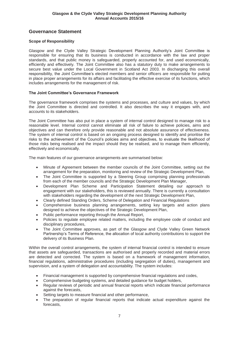# **Governance Statement**

## **Scope of Responsibility**

Glasgow and the Clyde Valley Strategic Development Planning Authority's Joint Committee is responsible for ensuring that its business is conducted in accordance with the law and proper standards, and that public money is safeguarded, properly accounted for, and used economically, efficiently and effectively. The Joint Committee also has a statutory duty to make arrangements to secure best value under the Local Government in Scotland Act 2003. In discharging this overall responsibility, the Joint Committee's elected members and senior officers are responsible for putting in place proper arrangements for its affairs and facilitating the effective exercise of its functions, which includes arrangements for the management of risk.

## **The Joint Committee's Governance Framework**

The governance framework comprises the systems and processes, and culture and values, by which the Joint Committee is directed and controlled. It also describes the way it engages with, and accounts to its stakeholders.

The Joint Committee has also put in place a system of internal control designed to manage risk to a reasonable level. Internal control cannot eliminate all risk of failure to achieve policies, aims and objectives and can therefore only provide reasonable and not absolute assurance of effectiveness. The system of internal control is based on an ongoing process designed to identify and prioritise the risks to the achievement of the Council's policies aims and objectives, to evaluate the likelihood of those risks being realised and the impact should they be realised, and to manage them efficiently, effectively and economically.

The main features of our governance arrangements are summarised below:

- Minute of Agreement between the member councils of the Joint Committee, setting out the arrangement for the preparation, monitoring and review of the Strategic Development Plan,
- The Joint Committee is supported by a Steering Group comprising planning professionals from each of the member councils and the Strategic Development Plan Manager,
- Development Plan Scheme and Participation Statement detailing our approach to engagement with our stakeholders, this is reviewed annually. There is currently a consultation with stakeholders regarding the development of the next Strategic Development Plan,
- x Clearly defined Standing Orders, Scheme of Delegation and Financial Regulations
- Comprehensive business planning arrangements, setting key targets and action plans designed to achieve the objectives of the Strategic Development Plan,
- Public performance reporting through the Annual Report,
- Policies to regulate employee related matters, including the employee code of conduct and disciplinary procedures,
- The Joint Committee approves, as part of the Glasgow and Clyde Valley Green Network Partnership's Terms of Reference, the allocation of local authority contributions to support the delivery of its Business Plan.

Within the overall control arrangements, the system of internal financial control is intended to ensure that assets are safeguarded, transactions are authorised and properly recorded and material errors are detected and corrected. The system is based on a framework of management information, financial regulations, administrative procedures (including segregation of duties), management and supervision, and a system of delegation and accountability. The system includes:

- Financial management is supported by comprehensive financial regulations and codes,
- Comprehensive budgeting systems, and detailed guidance for budget holders,
- Regular reviews of periodic and annual financial reports which indicate financial performance against the forecasts,
- Setting targets to measure financial and other performance,
- The preparation of regular financial reports that indicate actual expenditure against the forecasts,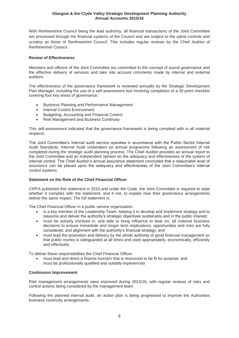With Renfrewshire Council being the lead authority, all financial transactions of the Joint Committee are processed through the financial systems of the Council and are subject to the same controls and scrutiny as those of Renfrewshire Council. This includes regular reviews by the Chief Auditor of Renfrewshire Council.

## **Review of Effectiveness**

Members and officers of the Joint Committee are committed to the concept of sound governance and the effective delivery of services and take into account comments made by internal and external auditors.

The effectiveness of the governance framework is reviewed annually by the Strategic Development Plan Manager, including the use of a self-assessment tool involving completion of a 30 point checklist covering four key areas of governance:

- Business Planning and Performance Management
- Internal Control Environment
- Budgeting, Accounting and Financial Control
- Risk Management and Business Continuity

This self-assessment indicated that the governance framework is being complied with in all material respects.

The Joint Committee's internal audit service operates in accordance with the Public Sector Internal Audit Standards. Internal Audit undertakes an annual programme following an assessment of risk completed during the strategic audit planning process. The Chief Auditor provides an annual report to the Joint Committee and an independent opinion on the adequacy and effectiveness of the system of internal control. The Chief Auditor's annual assurance statement concluded that a reasonable level of assurance can be placed upon the adequacy and effectiveness of the Joint Committee's internal control systems.

## **Statement on the Role of the Chief Financial Officer**

CIPFA published this statement in 2010 and under the Code, the Joint Committee is required to state whether it complies with the statement, and if not, to explain how their governance arrangements deliver the same impact. The full statement is:

The Chief Financial Officer in a public service organisation:

- is a key member of the Leadership Team, helping it to develop and implement strategy and to resource and deliver the authority's strategic objectives sustainably and in the public interest;
- must be actively involved in, and able to bring influence to bear on, all material business decisions to ensure immediate and longer term implications, opportunities and risks are fully considered, and alignment with the authority's financial strategy; and
- must lead the promotion and delivery by the whole authority of good financial management so that public money is safeguarded at all times and used appropriately, economically, efficiently and effectively.

To deliver these responsibilities the Chief Financial Officer:

must lead and direct a finance function that is resourced to be fit for purpose; and must be professionally qualified and suitably experienced

## **Continuous Improvement**

Risk management arrangements were improved during 2015/16, with regular reviews of risks and control actions being considered by the management team.

Following the planned internal audit, an action plan is being progressed to improve the Authorities business continuity arrangements.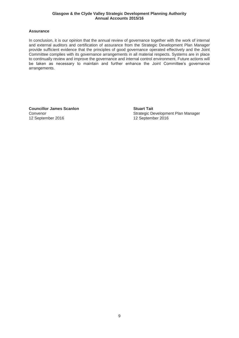## **Assurance**

In conclusion, it is our opinion that the annual review of governance together with the work of internal and external auditors and certification of assurance from the Strategic Development Plan Manager provide sufficient evidence that the principles of good governance operated effectively and the Joint Committee complies with its governance arrangements in all material respects. Systems are in place to continually review and improve the governance and internal control environment. Future actions will be taken as necessary to maintain and further enhance the Joint Committee's governance arrangements.

**Councillor James Scanlon Councillor Stuart Tait** 12 September 2016 12 September 2016

Convenor **Convention Convention Convention Convention Convention Convention Convention Convention Convention Convention Convention Convention Convention Convention Convention Convention Convention Convention Convention Con**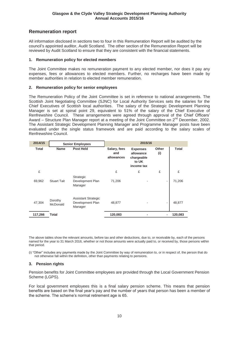# **Remuneration report**

All information disclosed in sections two to four in this Remuneration Report will be audited by the council's appointed auditor, Audit Scotland. The other section of the Remuneration Report will be reviewed by Audit Scotland to ensure that they are consistent with the financial statements.

### **1. Remuneration policy for elected members**

The Joint Committee makes no remuneration payment to any elected member, nor does it pay any expenses, fees or allowances to elected members. Further, no recharges have been made by member authorities in relation to elected member remuneration.

## **2. Remuneration policy for senior employees**

The Remuneration Policy of the Joint Committee is set in reference to national arrangements. The Scottish Joint Negotiating Committee (SJNC) for Local Authority Services sets the salaries for the Chief Executives of Scottish local authorities. The salary of the Strategic Development Planning Manager is set at spinal point 29, equivalent to 51% of the salary of the Chief Executive of Renfrewshire Council. These arrangements were agreed through approval of the Chief Officers' Award  $-$  Structure Plan Manager report at a meeting of the Joint Committee on  $2^{nd}$  December, 2002. The Assistant Strategic Development Planning Manager and Programme Manager posts have been evaluated under the single status framework and are paid according to the salary scales of Renfrewshire Council.

| 2014/15      | <b>Senior Employees</b> |                                                           | 2015/16                           |                                                                   |              |              |
|--------------|-------------------------|-----------------------------------------------------------|-----------------------------------|-------------------------------------------------------------------|--------------|--------------|
| <b>Total</b> | <b>Name</b>             | <b>Post Held</b>                                          | Salary, fees<br>and<br>allowances | <b>Expenses</b><br>allowance<br>chargeable<br>to UK<br>income tax | Other<br>(i) | <b>Total</b> |
| £            |                         |                                                           | £                                 | £                                                                 | £            | £            |
| 69,962       | <b>Stuart Tait</b>      | Strategic<br>Development Plan<br>Manager                  | 71,206                            |                                                                   |              | 71,206       |
| 47,304       | Dorothy<br>McDonald     | <b>Assistant Strategic</b><br>Development Plan<br>Manager | 48,877                            |                                                                   |              | 48,877       |
| 117,266      | Total                   |                                                           | 120,083                           |                                                                   |              | 120,083      |

The above tables show the relevant amounts, before tax and other deductions, due to, or receivable by, each of the persons named for the year to 31 March 2016, whether or not those amounts were actually paid to, or received by, those persons within that period.

(i) "Other" includes any payments made by the Joint Committee by way of remuneration to, or in respect of, the person that do not otherwise fall within the definition, other than payments relating to pensions.

## **3. Pension rights**

Pension benefits for Joint Committee employees are provided through the Local Government Pension Scheme (LGPS).

For local government employees this is a final salary pension scheme. This means that pension benefits are based on the final year's pay and the number of years that person has been a member of the scheme. The scheme's normal retirement age is 65.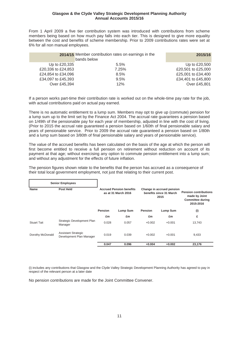From 1 April 2009 a five tier contribution system was introduced with contributions from scheme members being based on how much pay falls into each tier. This is designed to give more equality between the cost and benefits of scheme membership. Prior to 2009 contributions rates were set at 6% for all non manual employees.

|                    | 2014/15 Member contribution rates on earnings in the<br>bands below | 2015/16            |
|--------------------|---------------------------------------------------------------------|--------------------|
| Up to £20,335      | $5.5\%$                                                             | Up to £20,500      |
| £20,336 to £24,853 | 7.25%                                                               | £20,501 to £25,000 |
| £24,854 to £34,096 | 8.5%                                                                | £25,001 to £34,400 |
| £34,097 to £45,393 | 9.5%                                                                | £34,401 to £45,800 |
| Over £45,394       | 12%                                                                 | Over £45,801       |

If a person works part-time their contribution rate is worked out on the whole-time pay rate for the job, with actual contributions paid on actual pay earned.

There is no automatic entitlement to a lump sum. Members may opt to give up (commute) pension for a lump sum up to the limit set by the Finance Act 2004. The accrual rate guarantees a pension based on 1/49th of the pensionable pay for each year of membership, adjusted in line with the cost of living. (Prior to 2015 the accrual rate guaranteed a pension based on 1/60th of final pensionable salary and years of pensionable service. Prior to 2009 the accrual rate guaranteed a pension based on 1/80th and a lump sum based on 3/80th of final pensionable salary and years of pensionable service).

The value of the accrued benefits has been calculated on the basis of the age at which the person will first become entitled to receive a full pension on retirement without reduction on account of its payment at that age; without exercising any option to commute pension entitlement into a lump sum; and without any adjustment for the effects of future inflation.

The pension figures shown relate to the benefits that the person has accrued as a consequence of their total local government employment, not just that relating to their current post.

|                    | <b>Senior Employees</b>                                |                                                                                                                        |          |                |          |        |  |                                                                                       |
|--------------------|--------------------------------------------------------|------------------------------------------------------------------------------------------------------------------------|----------|----------------|----------|--------|--|---------------------------------------------------------------------------------------|
| <b>Name</b>        | <b>Post Held</b>                                       | <b>Accrued Pension benefits</b><br>Change in accrued pension<br>benefits since 31 March<br>as at 31 March 2016<br>2015 |          |                |          |        |  | <b>Pension contributions</b><br>made by Joint<br><b>Committee during</b><br>2015-2016 |
|                    |                                                        | <b>Pension</b>                                                                                                         | Lump Sum | <b>Pension</b> | Lump Sum | (i)    |  |                                                                                       |
|                    |                                                        | £m                                                                                                                     | £m       | £m             | £m       | £      |  |                                                                                       |
| <b>Stuart Tait</b> | Strategic Development Plan<br>Manager                  | 0.028                                                                                                                  | 0.057    | $+0.002$       | $+0.001$ | 13,743 |  |                                                                                       |
| Dorothy McDonald   | <b>Assistant Strategic</b><br>Development Plan Manager | 0.019                                                                                                                  | 0.039    | $+0.002$       | $+0.001$ | 9,433  |  |                                                                                       |
|                    |                                                        | 0.047                                                                                                                  | 0.096    | $+0.004$       | $+0.002$ | 23,176 |  |                                                                                       |

(i) includes any contributions that Glasgow and the Clyde Valley Strategic Development Planning Authority has agreed to pay in respect of the relevant person at a later date

No pension contributions are made for the Joint Committee Convener.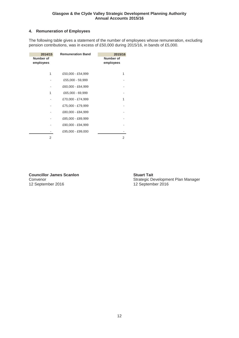## **4. Remuneration of Employees**

The following table gives a statement of the number of employees whose remuneration, excluding pension contributions, was in excess of £50,000 during 2015/16, in bands of £5,000.

| 2014/15<br>Number of<br>employees | <b>Remuneration Band</b> | 2015/16<br>Number of<br>employees |
|-----------------------------------|--------------------------|-----------------------------------|
| 1                                 | £50,000 - £54,999        | 1                                 |
|                                   | £55,000 - 59,999         |                                   |
|                                   | £60,000 - £64,999        |                                   |
| 1                                 | £65,000 - 69,999         |                                   |
|                                   | £70,000 - £74,999        | 1                                 |
|                                   | £75,000 - £79,999        |                                   |
|                                   | £80,000 - £84,999        |                                   |
|                                   | £85,000 - £89,999        |                                   |
|                                   | £90,000 - £94,999        |                                   |
|                                   | £95,000 - £99,000        |                                   |
| 2                                 |                          | 2                                 |

**Councillor James Scanlon Stuart Tait**<br>
Convenor Strategic De

Convenor Convenor Conventer 2016<br>
12 September 2016<br>
12 September 2016 12 September 2016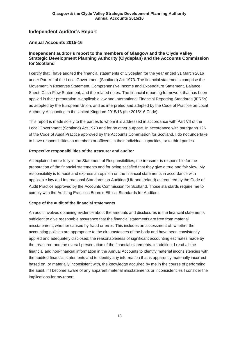# **Independent Auditor's Report**

## **Annual Accounts 2015-16**

## **Independent auditor's report to the members of Glasgow and the Clyde Valley Strategic Development Planning Authority (Clydeplan) and the Accounts Commission for Scotland**

I certify that I have audited the financial statements of Clydeplan for the year ended 31 March 2016 under Part VII of the Local Government (Scotland) Act 1973. The financial statements comprise the Movement in Reserves Statement, Comprehensive Income and Expenditure Statement, Balance Sheet, Cash-Flow Statement, and the related notes. The financial reporting framework that has been applied in their preparation is applicable law and International Financial Reporting Standards (IFRSs) as adopted by the European Union, and as interpreted and adapted by the Code of Practice on Local Authority Accounting in the United Kingdom 2015/16 (the 2015/16 Code).

This report is made solely to the parties to whom it is addressed in accordance with Part VII of the Local Government (Scotland) Act 1973 and for no other purpose. In accordance with paragraph 125 of the Code of Audit Practice approved by the Accounts Commission for Scotland, I do not undertake to have responsibilities to members or officers, in their individual capacities, or to third parties.

## **Respective responsibilities of the treasurer and auditor**

As explained more fully in the Statement of Responsibilities, the treasurer is responsible for the preparation of the financial statements and for being satisfied that they give a true and fair view. My responsibility is to audit and express an opinion on the financial statements in accordance with applicable law and International Standards on Auditing (UK and Ireland) as required by the Code of Audit Practice approved by the Accounts Commission for Scotland. Those standards require me to comply with the Auditing Practices Board's Ethical Standards for Auditors.

## **Scope of the audit of the financial statements**

An audit involves obtaining evidence about the amounts and disclosures in the financial statements sufficient to give reasonable assurance that the financial statements are free from material misstatement, whether caused by fraud or error. This includes an assessment of: whether the accounting policies are appropriate to the circumstances of the body and have been consistently applied and adequately disclosed; the reasonableness of significant accounting estimates made by the treasurer; and the overall presentation of the financial statements. In addition, I read all the financial and non-financial information in the Annual Accounts to identify material inconsistencies with the audited financial statements and to identify any information that is apparently materially incorrect based on, or materially inconsistent with, the knowledge acquired by me in the course of performing the audit. If I become aware of any apparent material misstatements or inconsistencies I consider the implications for my report.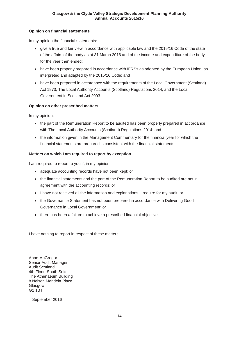## **Opinion on financial statements**

In my opinion the financial statements:

- give a true and fair view in accordance with applicable law and the 2015/16 Code of the state of the affairs of the body as at 31 March 2016 and of the income and expenditure of the body for the year then ended;
- have been properly prepared in accordance with IFRSs as adopted by the European Union, as interpreted and adapted by the 2015/16 Code; and
- have been prepared in accordance with the requirements of the Local Government (Scotland) Act 1973, The Local Authority Accounts (Scotland) Regulations 2014, and the Local Government in Scotland Act 2003.

## **Opinion on other prescribed matters**

In my opinion:

- the part of the Remuneration Report to be audited has been properly prepared in accordance with The Local Authority Accounts (Scotland) Regulations 2014; and
- the information given in the Management Commentary for the financial year for which the financial statements are prepared is consistent with the financial statements.

## **Matters on which I am required to report by exception**

I am required to report to you if, in my opinion:

- adequate accounting records have not been kept; or
- the financial statements and the part of the Remuneration Report to be audited are not in agreement with the accounting records; or
- I have not received all the information and explanations I require for my audit; or
- the Governance Statement has not been prepared in accordance with Delivering Good Governance in Local Government; or
- there has been a failure to achieve a prescribed financial objective.

I have nothing to report in respect of these matters.

Anne McGregor Senior Audit Manager Audit Scotland 4th Floor, South Suite The Athenaeum Building 8 Nelson Mandela Place Glasgow G2 1BT

September 2016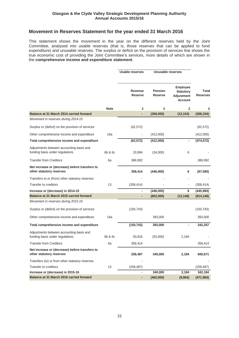## **Movement in Reserves Statement for the year ended 31 March 2016**

This statement shows the movement in the year on the different reserves held by the Joint Committee, analysed into usable reserves (that is, those reserves that can be applied to fund expenditure) and unusable reserves. The surplus or deficit on the provision of services line shows the true economic cost of providing the Joint Committee's services, more details of which are shown in the **comprehensive income and expenditure statement**.

|                                                                             |             | <b>Usable reserves</b>    | Unusable reserves         |                                                                            |                          |
|-----------------------------------------------------------------------------|-------------|---------------------------|---------------------------|----------------------------------------------------------------------------|--------------------------|
|                                                                             |             | Revenue<br><b>Reserve</b> | Pension<br><b>Reserve</b> | <b>Employee</b><br><b>Statutory</b><br><b>Adjustment</b><br><b>Account</b> | Total<br><b>Reserves</b> |
|                                                                             | <b>Note</b> | £                         | £                         | £                                                                          | £                        |
| Balance at 31 March 2014 carried forward                                    |             | ä,                        | (356,000)                 | (12, 154)                                                                  | (368, 154)               |
| Movement in reserves during 2014-15                                         |             |                           |                           |                                                                            |                          |
| Surplus or (deficit) on the provision of services                           |             | (62, 572)                 |                           |                                                                            | (62, 572)                |
| Other comprehensive income and expenditure                                  | 16a         |                           | (412,000)                 |                                                                            | (412,000)                |
| Total comprehensive income and expenditure                                  |             | (62, 572)                 | (412,000)                 | $\blacksquare$                                                             | (474, 572)               |
| Adjustments between accounting basis and<br>funding basis under regulations | 6b & 6c     | 33,994                    | (34,000)                  | 6                                                                          |                          |
| <b>Transfer from Creditors</b>                                              | 6a          | 386,992                   |                           |                                                                            | 386,992                  |
| Net increase or (decrease) before transfers to<br>other statutory reserves  |             | 358,414                   | (446,000)                 | 6                                                                          | (87, 580)                |
| Transfers to or (from) other statutory reserves                             |             |                           |                           |                                                                            |                          |
| Transfer to creditors                                                       | 13          | (358, 414)                |                           |                                                                            | (358, 414)               |
| Increase or (decrease) in 2014-15                                           |             |                           | (446,000)                 | 6                                                                          | (445, 994)               |
| Balance at 31 March 2015 carried forward                                    |             |                           | (802,000)                 | (12, 148)                                                                  | (814, 148)               |
| Movement in reserves during 2015-16                                         |             |                           |                           |                                                                            |                          |
| Surplus or (deficit) on the provision of services                           |             | (150, 743)                |                           |                                                                            | (150, 743)               |
| Other comprehensive income and expenditure                                  | 16a         |                           | 393,000                   |                                                                            | 393,000                  |
| Total comprehensive income and expenditure                                  |             | (150, 743)                | 393,000                   | $\blacksquare$                                                             | 242,257                  |
| Adjustments between accounting basis and<br>funding basis under regulations | 6b & 6c     | 50,816                    | (53,000)                  | 2,184                                                                      |                          |
| <b>Transfer from Creditors</b>                                              | 6a          | 358,414                   |                           |                                                                            | 358,414                  |
| Net increase or (decrease) before transfers to<br>other statutory reserves  |             | 258,487                   | 340,000                   | 2,184                                                                      | 600,671                  |
| Transfers (to) or from other statutory reserves                             |             |                           |                           |                                                                            |                          |
| Transfer to creditors                                                       | 13          | (258, 487)                |                           |                                                                            | (258, 487)               |
| Increase or (decrease) in 2015-16                                           |             | ٠                         | 340,000                   | 2,184                                                                      | 342,184                  |
| Balance at 31 March 2016 carried forward                                    |             |                           | (462,000)                 | (9,964)                                                                    | (471, 964)               |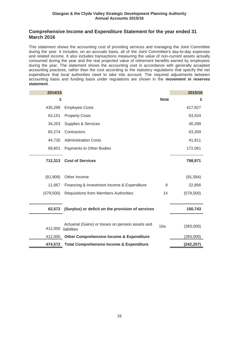## **Comprehensive Income and Expenditure Statement for the year ended 31 March 2016**

This statement shows the accounting cost of providing services and managing the Joint Committee during the year. It includes, on an accruals basis, all of the Joint Committee's day-to-day expenses and related income. It also includes transactions measuring the value of non-current assets actually consumed during the year and the real projected value of retirement benefits earned by employees during the year. The statement shows the accounting cost in accordance with generally accepted accounting practices, rather than the cost according to the statutory regulations that specify the net expenditure that local authorities need to take into account. The required adjustments between accounting basis and funding basis under regulations are shown in the **movement in reserves statement**.

| 2014/15    |                                                                  |             | 2015/16    |
|------------|------------------------------------------------------------------|-------------|------------|
| £          |                                                                  | <b>Note</b> | £          |
| 435,299    | <b>Employee Costs</b>                                            |             | 417,927    |
| 63,151     | <b>Property Costs</b>                                            |             | 63,524     |
| 34,253     | <b>Supplies &amp; Services</b>                                   |             | 40,289     |
| 65,274     | Contractors                                                      |             | 63,359     |
| 44,735     | <b>Administration Costs</b>                                      |             | 41,811     |
| 69,601     | Payments to Other Bodies                                         |             | 172,061    |
| 712,313    | <b>Cost of Services</b>                                          |             | 798,971    |
|            |                                                                  |             |            |
| (81,908)   | Other Income                                                     |             | (91, 584)  |
| 11,667     | Financing & Investment Income & Expenditure                      | 9           | 22,856     |
| (579, 500) | <b>Requisitions from Members Authorities</b>                     | 14          | (579, 500) |
|            |                                                                  |             |            |
|            | 62,572 (Surplus) or deficit on the provision of services         |             | 150,743    |
|            |                                                                  |             |            |
| 412,000    | Actuarial (Gains) or losses on pension assets and<br>liabilities | 16a         | (393,000)  |
| 412,000    | <b>Other Comprehensive Income &amp; Expenditure</b>              |             | (393,000)  |
| 474,572    | <b>Total Comprehensive Income &amp; Expenditure</b>              |             | (242,257)  |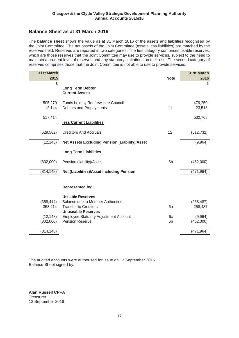# **Balance Sheet as at 31 March 2016**

The **balance sheet** shows the value as at 31 March 2016 of the assets and liabilities recognised by the Joint Committee. The net assets of the Joint Committee (assets less liabilities) are matched by the reserves held. Reserves are reported in two categories. The first category comprises usable reserves, which are those reserves that the Joint Committee may use to provide services, subject to the need to maintain a prudent level of reserves and any statutory limitations on their use. The second category of reserves comprises those that the Joint Committee is not able to use to provide services.

| 31st March<br>2015 |                                                               | <b>Note</b>    | <b>31st March</b><br>2016 |
|--------------------|---------------------------------------------------------------|----------------|---------------------------|
| £                  |                                                               |                | £                         |
|                    | <b>Long Term Debtor</b><br><b>Current Assets</b>              |                |                           |
| 505,270<br>12,144  | Funds held by Renfrewshire Council<br>Debtors and Prepayments | 11             | 479,250<br>23,518         |
|                    |                                                               |                |                           |
| 517,414            |                                                               |                | 502,768                   |
|                    | less Current Liabilities                                      |                |                           |
| (529, 562)         | <b>Creditors And Accruals</b>                                 | 12             | (512, 732)                |
| (12, 148)          | <b>Net Assets Excluding Pension (Liability)/Asset</b>         |                | (9,964)                   |
|                    | <b>Long Term Liabilities</b>                                  |                |                           |
| (802,000)          | Pension (liability)/Asset                                     | 6 <sub>b</sub> | (462,000)                 |
| (814, 148)         | <b>Net (Liabilities)/Asset Including Pension</b>              |                | (471, 964)                |
|                    | <b>Represented by:</b><br><b>Useable Reserves</b>             |                |                           |
| (358, 414)         | <b>Balance due to Member Authorities</b>                      |                | (258, 487)                |
| 358,414            | <b>Transfer to Creditors</b><br><b>Unuseable Reserves</b>     | 6a             | 258,487                   |
| (12, 148)          | <b>Employee Statutory Adjustment Account</b>                  | 6c             | (9,964)                   |
| (802,000)          | Pension Reserve                                               | 6b             | (462,000)                 |
| (814, 148)         |                                                               |                | (471, 964)                |

The audited accounts were authorised for issue on 12 September 2016. Balance Sheet signed by:

**Alan Russell CPFA Treasurer** 12 September 2016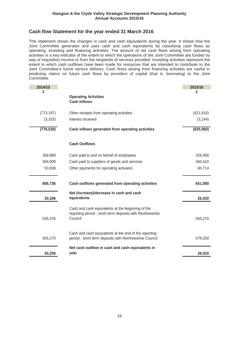# **Cash flow Statement for the year ended 31 March 2016**

This statement shows the changes in cash and cash equivalents during the year. It shows how the Joint Committee generates and uses cash and cash equivalents by classifying cash flows as operating, investing and financing activities. The amount of net cash flows arising from operating activities is a key indicator of the extent to which the operations of the Joint Committee are funded by way of requisition income or from the recipients of services provided. Investing activities represent the extent to which cash outflows have been made for resources that are intended to contribute to the Joint Committee's future service delivery. Cash flows arising from financing activities are useful in predicting claims on future cash flows by providers of capital (that is, borrowing) to the Joint Committee.

| 2014/15    |                                                                                                                          | 2015/16    |
|------------|--------------------------------------------------------------------------------------------------------------------------|------------|
| £          |                                                                                                                          | £          |
|            | <b>Operating Activities</b>                                                                                              |            |
|            | <b>Cash Inflows</b>                                                                                                      |            |
| (773, 197) | Other receipts from operating activities                                                                                 | (621, 916) |
| (3, 333)   | Interest received                                                                                                        | (3, 144)   |
| (776, 530) | Cash inflows generated from operating activities                                                                         | (625,060)  |
|            | <b>Cash Outflows</b>                                                                                                     |            |
| 358,889    | Cash paid to and on behalf of employees                                                                                  | 329,956    |
| 394,009    | Cash paid to suppliers of goods and services                                                                             | 260,410    |
| 53,838     | Other payments for operating activates                                                                                   | 60,714     |
| 806,736    | Cash outflows generated from operating activities                                                                        | 651,080    |
| 30,206     | Net (increase)/decrease in cash and cash<br>equivalents                                                                  | 26,020     |
| 535,476    | Cash and cash equivalents at the beginning of the<br>reporting period - short term deposits with Renfrewshire<br>Council | 505,270    |
| 505,270    | Cash and cash equivalents at the end of the reporting<br>period - short term deposits with Renfrewshire Council          | 479,250    |
| 30,206     | Net cash outflow in cash and cash equivalents in<br>year                                                                 | 26,020     |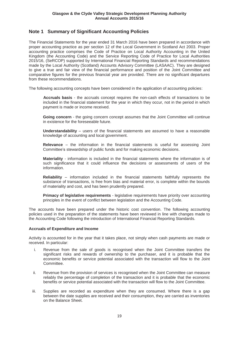# **Note 1 Summary of Significant Accounting Policies**

The Financial Statements for the year ended 31 March 2016 have been prepared in accordance with proper accounting practice as per section 12 of the Local Government in Scotland Act 2003. Proper accounting practice comprises the Code of Practice on Local Authority Accounting in the United Kingdom (the Accounting Code) and the Service Reporting Code of Practice for Local Authorities 2015/16, (SeRCOP) supported by International Financial Reporting Standards and recommendations made by the Local Authority (Scotland) Accounts Advisory Committee (LASAAC). They are designed to give a true and fair view of the financial performance and position of the Joint Committee and comparative figures for the previous financial year are provided. There are no significant departures from these recommendations.

The following accounting concepts have been considered in the application of accounting policies:

**Accruals basis** - the accruals concept requires the non-cash effects of transactions to be included in the financial statement for the year in which they occur, not in the period in which payment is made or income received.

**Going concern** - the going concern concept assumes that the Joint Committee will continue in existence for the foreseeable future.

**Understandability** – users of the financial statements are assumed to have a reasonable knowledge of accounting and local government.

**Relevance** – the information in the financial statements is useful for assessing Joint Committee's stewardship of public funds and for making economic decisions.

**Materiality** - information is included in the financial statements where the information is of such significance that it could influence the decisions or assessments of users of the information.

**Reliability** – information included in the financial statements faithfully represents the substance of transactions, is free from bias and material error, is complete within the bounds of materiality and cost, and has been prudently prepared.

**Primacy of legislative requirements** - legislative requirements have priority over accounting principles in the event of conflict between legislation and the Accounting Code.

The accounts have been prepared under the historic cost convention. The following accounting policies used in the preparation of the statements have been reviewed in line with changes made to the Accounting Code following the introduction of International Financial Reporting Standards.

## **Accruals of Expenditure and Income**

Activity is accounted for in the year that it takes place, not simply when cash payments are made or received. In particular:

- i. Revenue from the sale of goods is recognised when the Joint Committee transfers the significant risks and rewards of ownership to the purchaser, and it is probable that the economic benefits or service potential associated with the transaction will flow to the Joint Committee.
- ii. Revenue from the provision of services is recognised when the Joint Committee can measure reliably the percentage of completion of the transaction and it is probable that the economic benefits or service potential associated with the transaction will flow to the Joint Committee.
- iii. Supplies are recorded as expenditure when they are consumed. Where there is a gap between the date supplies are received and their consumption, they are carried as inventories on the Balance Sheet.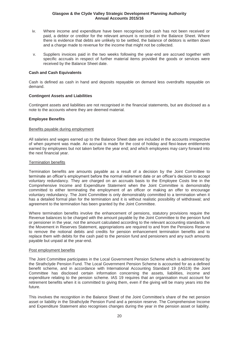- iv. Where income and expenditure have been recognised but cash has not been received or paid, a debtor or creditor for the relevant amount is recorded in the Balance Sheet. Where there is evidence that debts are unlikely to be settled, the balance of debtors is written down and a charge made to revenue for the income that might not be collected.
- v. Suppliers invoices paid in the two weeks following the year-end are accrued together with specific accruals in respect of further material items provided the goods or services were received by the Balance Sheet date.

### **Cash and Cash Equivalents**

Cash is defined as cash in hand and deposits repayable on demand less overdrafts repayable on demand.

#### **Contingent Assets and Liabilities**

Contingent assets and liabilities are not recognised in the financial statements, but are disclosed as a note to the accounts where they are deemed material.

#### **Employee Benefits**

#### Benefits payable during employment

All salaries and wages earned up to the Balance Sheet date are included in the accounts irrespective of when payment was made. An accrual is made for the cost of holiday and flexi-leave entitlements earned by employees but not taken before the year end; and which employees may carry forward into the next financial year.

#### Termination benefits

Termination benefits are amounts payable as a result of a decision by the Joint Committee to terminate an officer's employment before the normal retirement date or an officer's decision to accept voluntary redundancy. They are charged on an accruals basis to the Employee Costs line in the Comprehensive Income and Expenditure Statement when the Joint Committee is demonstrably committed to either terminating the employment of an officer or making an offer to encourage voluntary redundancy. The Joint Committee is only demonstrably committed to a termination when it has a detailed formal plan for the termination and it is without realistic possibility of withdrawal; and agreement to the termination has been granted by the Joint Committee.

Where termination benefits involve the enhancement of pensions, statutory provisions require the Revenue balances to be charged with the amount payable by the Joint Committee to the pension fund or pensioner in the year, not the amount calculated according to the relevant accounting standards. In the Movement in Reserves Statement, appropriations are required to and from the Pensions Reserve to remove the notional debits and credits for pension enhancement termination benefits and to replace them with debits for the cash paid to the pension fund and pensioners and any such amounts payable but unpaid at the year-end.

#### Post employment benefits

The Joint Committee participates in the Local Government Pension Scheme which is administered by the Strathclyde Pension Fund. The Local Government Pension Scheme is accounted for as a defined benefit scheme, and in accordance with International Accounting Standard 19 (IAS19) the Joint Committee has disclosed certain information concerning the assets, liabilities, income and expenditure relating to the pension scheme. IAS 19 requires that an organisation must account for retirement benefits when it is committed to giving them, even if the giving will be many years into the future.

This involves the recognition in the Balance Sheet of the Joint Committee's share of the net pension asset or liability in the Strathclyde Pension Fund and a pension reserve. The Comprehensive Income and Expenditure Statement also recognises changes during the year in the pension asset or liability.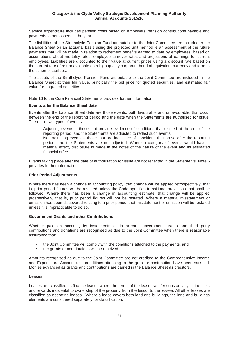Service expenditure includes pension costs based on employers' pension contributions payable and payments to pensioners in the year.

The liabilities of the Strathclyde Pension Fund attributable to the Joint Committee are included in the Balance Sheet on an actuarial basis using the projected unit method ie an assessment of the future payments that will be made in relation to retirement benefits earned to date by employees, based on assumptions about mortality rates, employee turnover rates and projections of earnings for current employees. Liabilities are discounted to their value at current prices using a discount rate based on the current rate of return available on a high quality corporate bond of equivalent currency and term to the scheme liabilities.

The assets of the Strathclyde Pension Fund attributable to the Joint Committee are included in the Balance Sheet at their fair value, principally the bid price for quoted securities, and estimated fair value for unquoted securities.

Note 16 to the Core Financial Statements provides further information.

#### **Events after the Balance Sheet date**

Events after the balance Sheet date are those events, both favourable and unfavourable, that occur between the end of the reporting period and the date when the Statements are authorised for issue. There are two types of events:

- Adjusting events those that provide evidence of conditions that existed at the end of the reporting period, and the Statements are adjusted to reflect such events
- Non-adjusting events those that are indicative of conditions that arose after the reporting period, and the Statements are not adjusted. Where a category of events would have a material effect, disclosure is made in the notes of the nature of the event and its estimated financial effect.

Events taking place after the date of authorisation for issue are not reflected in the Statements. Note 5 provides further information.

## **Prior Period Adjustments**

Where there has been a change in accounting policy, that change will be applied retrospectively, that is, prior period figures will be restated unless the Code specifies transitional provisions that shall be followed. Where there has been a change in accounting estimate, that change will be applied prospectively, that is, prior period figures will not be restated. Where a material misstatement or omission has been discovered relating to a prior period, that misstatement or omission will be restated unless it is impracticable to do so.

#### **Government Grants and other Contributions**

Whether paid on account, by instalments or in arrears, government grants and third party contributions and donations are recognised as due to the Joint Committee when there is reasonable assurance that:

- the Joint Committee will comply with the conditions attached to the payments, and
- the grants or contributions will be received.

Amounts recognised as due to the Joint Committee are not credited to the Comprehensive Income and Expenditure Account until conditions attaching to the grant or contribution have been satisfied. Monies advanced as grants and contributions are carried in the Balance Sheet as creditors.

#### **Leases**

Leases are classified as finance leases where the terms of the lease transfer substantially all the risks and rewards incidental to ownership of the property from the lessor to the lessee. All other leases are classified as operating leases. Where a lease covers both land and buildings, the land and buildings elements are considered separately for classification.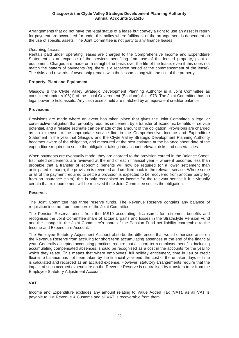Arrangements that do not have the legal status of a lease but convey a right to use an asset in return for payment are accounted for under this policy where fulfilment of the arrangement is dependent on the use of specific assets. The Joint Committee is not party to any finance leases.

#### *Operating Leases*

Rentals paid under operating leases are charged to the Comprehensive Income and Expenditure Statement as an expense of the services benefiting from use of the leased property, plant or equipment. Charges are made on a straight-line basis over the life of the lease, even if this does not match the pattern of payments (eg, there is a rent-free period at the commencement of the lease). The risks and rewards of ownership remain with the lessors along with the title of the property.

### **Property, Plant and Equipment**

Glasgow & the Clyde Valley Strategic Development Planning Authority is a Joint Committee as constituted under s106(1) of the Local Government (Scotland) Act 1973. The Joint Committee has no legal power to hold assets. Any cash assets held are matched by an equivalent creditor balance.

#### **Provisions**

Provisions are made where an event has taken place that gives the Joint Committee a legal or constructive obligation that probably requires settlement by a transfer of economic benefits or service potential, and a reliable estimate can be made of the amount of the obligation. Provisions are charged as an expense to the appropriate service line in the Comprehensive Income and Expenditure Statement in the year that Glasgow and the Clyde Valley Strategic Development Planning Authority becomes aware of the obligation, and measured at the best estimate at the balance sheet date of the expenditure required to settle the obligation, taking into account relevant risks and uncertainties.

When payments are eventually made, they are charged to the provision carried in the Balance Sheet. Estimated settlements are reviewed at the end of each financial year  $-$  where it becomes less than probable that a transfer of economic benefits will now be required (or a lower settlement than anticipated is made), the provision is reversed and credited back to the relevant service. Where some or all of the payment required to settle a provision is expected to be recovered from another party (eg from an insurance claim), this is only recognised as income for the relevant service if it is virtually certain that reimbursement will be received if the Joint Committee settles the obligation.

#### **Reserves**

The Joint Committee has three reserve funds. The Revenue Reserve contains any balance of requisition income from members of the Joint Committee.

The Pension Reserve arises from the IAS19 accounting disclosures for retirement benefits and recognises the Joint Committee share of actuarial gains and losses in the Strathclyde Pension Fund and the change in the Joint Committee's share of the Pension Fund net liability chargeable to the Income and Expenditure Account.

The Employee Statutory Adjustment Account absorbs the differences that would otherwise arise on the Revenue Reserve from accruing for short term accumulating absences at the end of the financial year. Generally accepted accounting practices require that all short-term employee benefits, including accumulating compensated absences, should be recognised as a cost in the accounts for the year to which they relate. This means that where employees' full holiday entitlement, time in lieu or credit flexi-time balance has not been taken by the financial year-end, the cost of the untaken days or time is calculated and recorded as an accrued expense. However, statutory arrangements require that the impact of such accrued expenditure on the Revenue Reserve is neutralised by transfers to or from the Employee Statutory Adjustment Account.

## **VAT**

Income and Expenditure excludes any amount relating to Value Added Tax (VAT), as all VAT is payable to HM Revenue & Customs and all VAT is recoverable from them.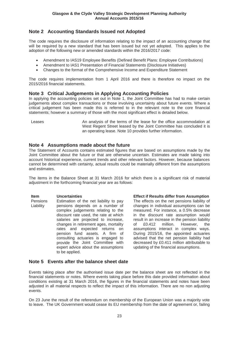# **Note 2 Accounting Standards Issued not Adopted**

The code requires the disclosure of information relating to the impact of an accounting change that will be required by a new standard that has been issued but not yet adopted. This applies to the adoption of the following new or amended standards within the 2016/2017 code:

- x Amendment to IAS19 Employee Benefits (Defined Benefit Plans: Employee Contributions)
- Amendment to IAS1 Presentation of Financial Statements (Disclosure Initiatives)
- Changes to the format of the Comprehensive Income and Expenditure Statement

The code requires implementation from 1 April 2016 and there is therefore no impact on the 2015/2016 financial statements.

## **Note 3 Critical Judgements in Applying Accounting Policies**

In applying the accounting policies set out in Note 1, the Joint Committee has had to make certain judgements about complex transactions or those involving uncertainty about future events. Where a critical judgement has been made this is referred to in the relevant note to the core financial statements; however a summary of those with the most significant effect is detailed below.

Leases and An analysis of the terms of the lease for the office accommodation at West Regent Street leased by the Joint Committee has concluded it is an operating lease. Note 10 provides further information.

## **Note 4 Assumptions made about the future**

The Statement of Accounts contains estimated figures that are based on assumptions made by the Joint Committee about the future or that are otherwise uncertain. Estimates are made taking into account historical experience, current trends and other relevant factors. However, because balances cannot be determined with certainty, actual results could be materially different from the assumptions and estimates.

The items in the Balance Sheet at 31 March 2016 for which there is a significant risk of material adjustment in the forthcoming financial year are as follows:

#### **Item Uncertainties Effect if Results differ from Assumption**  Pensions Liability Estimation of the net liability to pay pensions depends on a number of complex judgements relating to the discount rate used, the rate at which salaries are projected to increase, changes in retirement ages, mortality rates and expected returns on pension fund assets. A firm of consulting actuaries is engaged to provide the Joint Committee with expert advice about the assumptions to be applied.

The effects on the net pensions liability of changes in individual assumptions can be measured. For instance, a 0.5% decrease in the discount rate assumption would result in an increase in the pension liability of £0.412 million. However, the assumptions interact in complex ways. During 2015/16, the appointed actuaries advised that the net pension liability had decreased by £0.411 million attributable to updating of the financial assumptions.

# **Note 5 Events after the balance sheet date**

Events taking place after the authorised issue date per the balance sheet are not reflected in the financial statements or notes. Where events taking place before this date provided information about conditions existing at 31 March 2016, the figures in the financial statements and notes have been adjusted in all material respects to reflect the impact of this information. There are no non adjusting events.

On 23 June the result of the referendum on membership of the European Union was a majority vote to leave. The UK Government would cease its EU membership from the date of agreement or, failing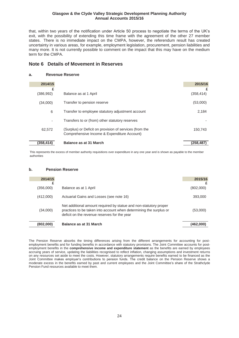that, within two years of the notification under Article 50 process to negotiate the terms of the UK's exit, with the possibility of extending this time frame with the agreement of the other 27 member states. There is no immediate impact on the CMPA, however, the referendum result has created uncertainty in various areas, for example, employment legislation, procurement, pension liabilities and many more. It is not currently possible to comment on the impact that this may have on the medium term for the CMPA.

## **Note 6 Details of Movement in Reserves**

#### **a. Revenue Reserve**

| 2014/15   |                                                         | 2015/16    |
|-----------|---------------------------------------------------------|------------|
| £         |                                                         | £          |
| (386,992) | Balance as at 1 April                                   | (358, 414) |
| (34,000)  | Transfer to pension reserve                             | (53,000)   |
| 6         | Transfer to employee statutory adjustment account       | 2,184      |
|           | Transfers to or (from) other statutory reserves         |            |
| 62.572    | (Surplus) or Deficit on provision of services (from the | 150.743    |
|           | Comprehensive Income & Expenditure Account)             |            |
| (358,414) | Balance as at 31 March                                  | (258,487)  |

This represents the excess of member authority requisitions over expenditure in any one year and is shown as payable to the member authorities

#### **b. Pension Reserve**

| 2014/15   |                                                                                                                                                                                         | 2015/16   |
|-----------|-----------------------------------------------------------------------------------------------------------------------------------------------------------------------------------------|-----------|
|           |                                                                                                                                                                                         |           |
| (356,000) | Balance as at 1 April                                                                                                                                                                   | (802,000) |
| (412,000) | Actuarial Gains and Losses (see note 16)                                                                                                                                                | 393,000   |
| (34,000)  | Net additional amount required by statue and non-statutory proper<br>practices to be taken into account when determining the surplus or<br>deficit on the revenue reserves for the year | (53,000)  |
| (802,000) | Balance as at 31 March                                                                                                                                                                  | (462,000) |

The Pension Reserve absorbs the timing differences arising from the different arrangements for accounting for postemployment benefits and for funding benefits in accordance with statutory provisions. The Joint Committee accounts for postemployment benefits in the **comprehensive income and expenditure statement** as the benefits are earned by employees accruing years of service, updating the liabilities recognised to reflect inflation, changing assumptions and investment returns on any resources set aside to meet the costs. However, statutory arrangements require benefits earned to be financed as the Joint Committee makes emplover's contributions to pension funds. The credit balance on the Pension Reserve shows a moderate excess in the benefits earned by past and current employees and the Joint Committee's share of the Strathclyde Pension Fund resources available to meet them.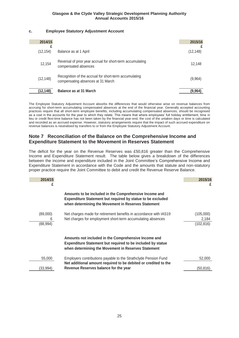## **c. Employee Statutory Adjustment Account**

| 2014/15   |                                                                                             | 2015/16   |
|-----------|---------------------------------------------------------------------------------------------|-----------|
| (12, 154) | Balance as at 1 April                                                                       | (12, 148) |
| 12,154    | Reversal of prior year accrual for short-term accumulating<br>compensated absences          | 12,148    |
| (12, 148) | Recognition of the accrual for short-term accumulating<br>compensating absences at 31 March | (9,964)   |
| (12,148)  | <b>Balance as at 31 March</b>                                                               | (9,964)   |

The Employee Statutory Adjustment Account absorbs the differences that would otherwise arise on revenue balances from accruing for short-term accumulating compensated absences at the end of the financial year. Generally accepted accounting practices require that all short-term employee benefits, including accumulating compensated absences, should be recognised as a cost in the accounts for the year to which they relate. This means that where employees' full holiday entitlement, time in lieu or credit flexi-time balance has not been taken by the financial year-end, the cost of the untaken days or time is calculated and recorded as an accrued expense. However, statutory arrangements require that the impact of such accrued expenditure on revenue balances is neutralised by transfers to or from the Employee Statutory Adjustment Account.

# **Note 7 Reconciliation of the Balance on the Comprehensive Income and Expenditure Statement to the Movement in Reserves Statement**

The deficit for the year on the Revenue Reserves was £50,816 greater than the Comprehensive Income and Expenditure Statement result. The table below gives a breakdown of the differences between the income and expenditure included in the Joint Committee's Comprehensive Income and Expenditure Statement in accordance with the Code and the amounts that statute and non-statutory proper practice require the Joint Committee to debit and credit the Revenue Reserve Balance.

| 2014/15                    |                                                                                                                                                                                     | 2015/16<br>£                     |
|----------------------------|-------------------------------------------------------------------------------------------------------------------------------------------------------------------------------------|----------------------------------|
|                            | Amounts to be included in the Comprehensive Income and<br><b>Expenditure Statement but required by statue to be excluded</b><br>when determining the Movement in Reserves Statement |                                  |
| (89,000)<br>6<br>(88, 994) | Net charges made for retirement benefits in accordance with IAS19<br>Net charges for employment short-term accumulating absences                                                    | (105,000)<br>2,184<br>(102, 816) |
|                            | Amounts not included in the Comprehensive Income and<br><b>Expenditure Statement but required to be included by statue</b><br>when determining the Movement in Reserves Statement   |                                  |
| 55,000                     | Employers contributions payable to the Strathclyde Pension Fund<br>Net additional amount required to be debited or credited to the                                                  | 52,000                           |
| (33,994)                   | Revenue Reserves balance for the year                                                                                                                                               | (50,816)                         |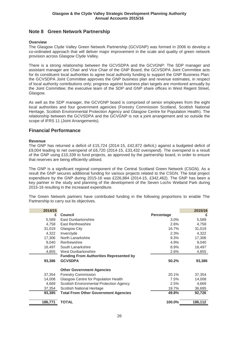# **Note 8 Green Network Partnership**

### **Overview**

The Glasgow Clyde Valley Green Network Partnership (GCVGNP) was formed in 2006 to develop a co-ordinated approach that will deliver major improvement in the scale and quality of green network provision across Glasgow Clyde Valley.

There is a strong relationship between the GCVSDPA and the GCVGNP: The SDP manager and assistant manager are Chair and Vice Chair of the GNP Board; the GCVSDPA Joint Committee acts for its constituent local authorities to agree local authority funding to support the GNP Business Plan; the GCVSDPA Joint Committee approves the GNP business plan and revenue estimates, in respect of local authority contributions only; progress against business plan targets are monitored annually by the Joint Committee; the executive team of the SDP and GNP share offices in West Regent Street, Glasgow.

As well as the SDP manager, the GCVGNP board is comprised of senior employees from the eight local authorities and four government agencies (Forestry Commission Scotland, Scottish National Heritage, Scottish Environmental Protection Agency and Glasgow Centre for Population Health). The relationship between the GCVSDPA and the GCVGNP is not a joint arrangement and so outside the scope of IFRS 11 (Joint Arrangements).

## **Financial Performance**

#### **Revenue**

The GNP has returned a deficit of £15,724 (2014-15, £42,872 deficit,) against a budgeted deficit of £9,004 leading to net overspend of £6,720 (2014-15, £33,432 overspend). The overspend is a result of the GNP using £10,339 to fund projects, as approved by the partnership board, in order to ensure that reserves are being efficiently utilised.

The GNP is a significant regional component of the Central Scotland Green Network (CSGN). As a result the GNP secures additional funding for various projects related to the CSGN. The total project expenditure by the GNP during 2015-16 was £226,884 (2014-15, £342,462). The GNP has been a key partner in the study and planning of the development of the Seven Lochs Wetland Park during 2015-16 resulting in the increased expenditure.

The Green Network partners have contributed funding in the following proportions to enable The Partnership to carry out its objectives.

| 2014/15 |                                                |            | 2015/16 |
|---------|------------------------------------------------|------------|---------|
| £       | <b>Council</b>                                 | Percentage | £       |
| 5,589   | East Dunbartonshire                            | $3.0\%$    | 5,589   |
| 4,758   | <b>East Renfrewshire</b>                       | 2.6%       | 4,758   |
| 31,019  | Glasgow City                                   | 16.7%      | 31,019  |
| 4,322   | Inverclyde                                     | 2.3%       | 4,322   |
| 17,306  | North Lanarkshire                              | 9.3%       | 17,306  |
| 9.040   | Renfrewshire                                   | 4.9%       | 9,040   |
| 16,497  | South Lanarkshire                              | 8.9%       | 16,497  |
| 4,855   | West Dunbartonshire                            | 2.6%       | 4,855   |
|         | <b>Funding From Authorities Represented by</b> |            |         |
| 93,386  | <b>GCVSDPA</b>                                 | 50.2%      | 93,386  |
|         | <b>Other Government Agencies</b>               |            |         |
| 37,354  | <b>Forestry Commission</b>                     | 20.1%      | 37,354  |
| 14,008  | Glasgow Centre for Population Health           | 7.5%       | 14,008  |
| 4,669   | Scottish Environmental Protection Agency       | 2.5%       | 4,669   |
| 37,354  | Scottish National Heritage                     | 19.7%      | 36,695  |
| 93,385  | <b>Total From Other Government Agencies</b>    | 49.8%      | 92,726  |
| 186,771 | TOTAL                                          | 100.0%     | 186,112 |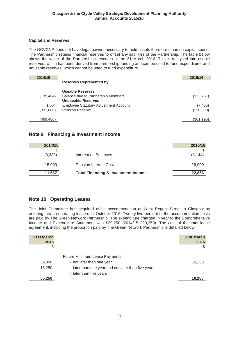## **Capital and Reserves**

The GCVGNP does not have legal powers necessary to hold assets therefore it has no capital spend. The Partnership retains financial reserves to offset any liabilities of the Partnership. The table below shows the value of the Partnerships reserves at the 31 March 2016. This is analysed into usable reserves, which has been derived from partnership funding and can be used to fund expenditure, and unusable reserves, which cannot be used to fund expenditure.

| 2014/15    |                                              | 2015/16    |
|------------|----------------------------------------------|------------|
|            | <b>Reserves Represented by:</b>              |            |
|            | Useable Reserves                             |            |
| (139, 484) | Balance due to Partnership Members           | (123, 761) |
|            | Unuseable Reserves                           |            |
| 1.004      | <b>Employee Statutory Adjustment Account</b> | (7, 435)   |
| (331,000)  | <b>Pension Reserve</b>                       | (230,000)  |
|            |                                              |            |
| (469,480)  |                                              | (361,196)  |
|            |                                              |            |

# **Note 9 Financing & Investment Income**

| 2014/15 |                                                | 2015/16  |
|---------|------------------------------------------------|----------|
|         |                                                |          |
| (3,333) | Interest on Balances                           | (3, 144) |
| 15,000  | <b>Pension Interest Cost</b>                   | 26,000   |
| 11,667  | <b>Total Financing &amp; Investment Income</b> | 22,856   |

# **Note 10 Operating Leases**

The Joint Committee has acquired office accommodation at West Regent Street in Glasgow by entering into an operating lease until October 2016. Twenty five percent of the accommodation costs are paid by The Green Network Partnership. The expenditure charged in year to the Comprehensive Income and Expenditure Statement was £29,250 (2014/15 £29,250). The cost of the total lease agreement, including the proportion paid by The Green Network Partnership is detailed below:

| 31st March<br>2015 |                                                     | 31st March<br>2016 |
|--------------------|-----------------------------------------------------|--------------------|
|                    |                                                     |                    |
|                    | <b>Future Minimum Lease Payments</b>                |                    |
| 39,000             | - not later than one year                           | 16.250             |
| 16,250             | - later than one year and not later than five years |                    |
|                    | - later than five years                             |                    |
| 55,250             |                                                     | 16,250             |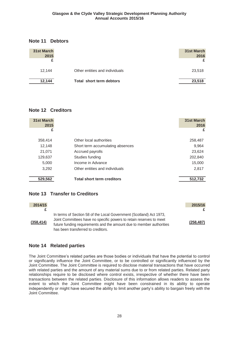## **Note 11 Debtors**

| 31st March<br>2015 |                                | 31st March<br>2016 |
|--------------------|--------------------------------|--------------------|
| 12.144             | Other entities and individuals | 23,518             |
| 12,144             | Total short term debtors       | 23,518             |

# **Note 12 Creditors**

| 31st March<br>2015 |                                   | 31st March<br>2016 |
|--------------------|-----------------------------------|--------------------|
| £                  |                                   | £                  |
| 358,414            | Other local authorities           | 258,487            |
| 12,148             | Short term accumulating absences  | 9,964              |
| 21,071             | Accrued payrolls                  | 23,624             |
| 129,637            | Studies funding                   | 202,840            |
| 5,000              | Income in Advance                 | 15,000             |
| 3,292              | Other entities and individuals    | 2,817              |
| 529,562            | <b>Total short term creditors</b> | 512,732            |

# **Note 13 Transfer to Creditors**

| 2014/15    |                                                                                                                                                                                                                                                          | 2015/16    |
|------------|----------------------------------------------------------------------------------------------------------------------------------------------------------------------------------------------------------------------------------------------------------|------------|
|            |                                                                                                                                                                                                                                                          | £          |
| (358, 414) | In terms of Section 58 of the Local Government (Scotland) Act 1973,<br>Joint Committees have no specific powers to retain reserves to meet<br>future funding requirements and the amount due to member authorities<br>has been transferred to creditors. | (258, 487) |

# **Note 14 Related parties**

The Joint Committee's related parties are those bodies or individuals that have the potential to control or significantly influence the Joint Committee, or to be controlled or significantly influenced by the Joint Committee. The Joint Committee is required to disclose material transactions that have occurred with related parties and the amount of any material sums due to or from related parties. Related party relationships require to be disclosed where control exists, irrespective of whether there have been transactions between the related parties. Disclosure of this information allows readers to assess the extent to which the Joint Committee might have been constrained in its ability to operate independently or might have secured the ability to limit another party's ability to bargain freely with the Joint Committee.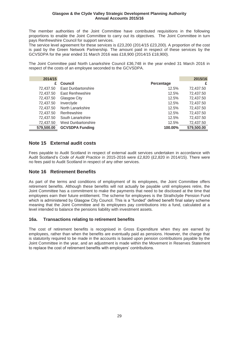The member authorities of the Joint Committee have contributed requisitions in the following proportions to enable the Joint Committee to carry out its objectives. The Joint Committee in turn pays Renfrewshire Council for support services.

The service level agreement for these services is £23,200 (2014/15 £23,200). A proportion of the cost is paid by the Green Network Partnership. The amount paid in respect of these services by the GCVSDPA for the year ended 31 March 2016 was £18,900 (2014/15 £18,900).

The Joint Committee paid North Lanarkshire Council £36,748 in the year ended 31 March 2016 in respect of the costs of an employee seconded to the GCVSDPA.

| 2014/15    |                          |            | 2015/16    |
|------------|--------------------------|------------|------------|
| £          | <b>Council</b>           | Percentage | £          |
| 72,437.50  | East Dunbartonshire      | 12.5%      | 72,437.50  |
| 72,437.50  | <b>East Renfrewshire</b> | 12.5%      | 72,437.50  |
| 72,437.50  | Glasgow City             | 12.5%      | 72,437.50  |
| 72,437.50  | Inverclyde               | 12.5%      | 72,437.50  |
| 72,437.50  | North Lanarkshire        | 12.5%      | 72,437.50  |
| 72,437.50  | Renfrewshire             | 12.5%      | 72,437.50  |
| 72,437.50  | South Lanarkshire        | 12.5%      | 72,437.50  |
| 72,437.50  | West Dunbartonshire      | 12.5%      | 72,437.50  |
| 579,500.00 | <b>GCVSDPA Funding</b>   | 100.00%    | 579,500.00 |

# **Note 15 External audit costs**

Fees payable to Audit Scotland in respect of external audit services undertaken in accordance with Audit Scotland's Code of Audit Practice in 2015-2016 were £2,820 (£2,820 in 2014/15). There were no fees paid to Audit Scotland in respect of any other services.

# **Note 16 Retirement Benefits**

As part of the terms and conditions of employment of its employees, the Joint Committee offers retirement benefits. Although these benefits will not actually be payable until employees retire, the Joint Committee has a commitment to make the payments that need to be disclosed at the time that employees earn their future entitlement. The scheme for employees is the Strathclyde Pension Fund which is administered by Glasgow City Council. This is a "funded" defined benefit final salary scheme meaning that the Joint Committee and its employees pay contributions into a fund, calculated at a level intended to balance the pensions liability with investment assets.

## **16a. Transactions relating to retirement benefits**

The cost of retirement benefits is recognised in Gross Expenditure when they are earned by employees, rather than when the benefits are eventually paid as pensions. However, the charge that is statutorily required to be made in the accounts is based upon pension contributions payable by the Joint Committee in the year, and an adjustment is made within the Movement in Reserves Statement to replace the cost of retirement benefits with employers' contributions.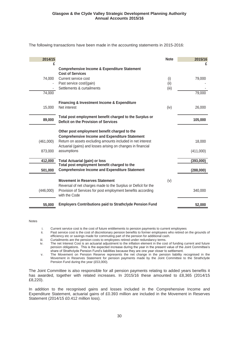The following transactions have been made in the accounting statements in 2015-2016:

| 2014/15   |                                                                                                                                                                                          | <b>Note</b>          | 2015/16   |
|-----------|------------------------------------------------------------------------------------------------------------------------------------------------------------------------------------------|----------------------|-----------|
| £         | <b>Comprehensive Income &amp; Expenditure Statement</b><br><b>Cost of Services</b>                                                                                                       |                      | £         |
| 74,000    | Current service cost<br>Past service cost/(gain)<br>Settlements & curtailments                                                                                                           | (i)<br>(ii)<br>(iii) | 79,000    |
| 74,000    |                                                                                                                                                                                          |                      | 79,000    |
| 15,000    | <b>Financing &amp; Investment Income &amp; Expenditure</b><br>Net interest                                                                                                               | (iv)                 | 26,000    |
| 89,000    | Total post employment benefit charged to the Surplus or<br><b>Deficit on the Provision of Services</b>                                                                                   |                      | 105,000   |
|           | Other post employment benefit charged to the                                                                                                                                             |                      |           |
| (461,000) | <b>Comprehensive Income and Expenditure Statement</b><br>Return on assets excluding amounts included in net interest<br>Actuarial (gains) and losses arising on changes in financial     |                      | 18,000    |
| 873,000   | assumptions                                                                                                                                                                              |                      | (411,000) |
| 412,000   | <b>Total Actuarial (gain) or loss</b><br>Total post employment benefit charged to the                                                                                                    |                      | (393,000) |
| 501,000   | <b>Comprehensive Income and Expenditure Statement</b>                                                                                                                                    |                      | (288,000) |
| (446,000) | <b>Movement in Reserves Statement</b><br>Reversal of net charges made to the Surplus or Deficit for the<br>Provision of Services for post employment benefits according<br>with the Code | (v)                  | 340,000   |
| 55,000    | <b>Employers Contributions paid to Strathclyde Pension Fund</b>                                                                                                                          |                      | 52,000    |

Notes

- i. Current service cost is the cost of future entitlements to pension payments to current employees<br>ii. Past service cost is the cost of discretionary pension benefits to former employees who retired or
- Past service cost is the cost of discretionary pension benefits to former employees who retired on the grounds of efficiency etc or savings made for commuting part of the pension for additional cash.
- iii. Curtailments are the pension costs to employees retired under redundancy terms.<br>iv. The net Interest Cost is an actuarial adjustment to the inflation element in the cos
- The net Interest Cost is an actuarial adjustment to the inflation element in the cost of funding current and future pension obligations. This is the expected increase during the year in the present value of the Joint Committee's share of Strathclyde Pension Fund's liabilities because they are one year closer to settlement.
- v. The Movement on Pension Reserve represents the net change in the pension liability recognised in the Movement in Reserves Statement for pension payments made by the Joint Committee to the Strathclyde Pension Fund during the year (£53,000).

The Joint Committee is also responsible for all pension payments relating to added years benefits it has awarded, together with related increases. In 2015/16 these amounted to £8,365 (2014/15 £8,220).

In addition to the recognised gains and losses included in the Comprehensive Income and Expenditure Statement, actuarial gains of £0.393 million are included in the Movement in Reserves Statement (2014/15 £0.412 million loss).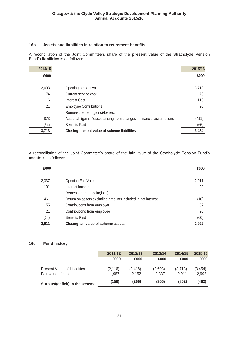## **16b. Assets and liabilities in relation to retirement benefits**

A reconciliation of the Joint Committee's share of the **present** value of the Strathclyde Pension Fund's liabilities is as follows:

| 2014/15 |                                                                        | 2015/16 |
|---------|------------------------------------------------------------------------|---------|
| £000    |                                                                        | £000    |
| 2,693   | Opening present value                                                  | 3,713   |
| 74      | Current service cost                                                   | 79      |
| 116     | Interest Cost                                                          | 119     |
| 21      | <b>Employee Contributions</b>                                          | 20      |
|         | Remeasurement (gains)/losses:                                          |         |
| 873     | Actuarial (gains)/losses arising from changes in financial assumptions | (411)   |
| (64)    | <b>Benefits Paid</b>                                                   | (66)    |
| 3,713   | Closing present value of scheme liabilities                            | 3,454   |

A reconciliation of the Joint Committee's share of the fair value of the Strathclyde Pension Fund's **assets** is as follows:

| £000  |                                                             | £000  |
|-------|-------------------------------------------------------------|-------|
| 2,337 | Opening Fair Value                                          | 2,911 |
| 101   | Interest Income                                             | 93    |
|       | Remeasurement gain/(loss):                                  |       |
| 461   | Return on assets excluding amounts included in net interest | (18)  |
| 55    | Contributions from employer                                 | 52    |
| 21    | Contributions from employee                                 | 20    |
| (64)  | <b>Benefits Paid</b>                                        | (66)  |
| 2,911 | Closing fair value of scheme assets                         | 2,992 |

## **16c. Fund history**

|                                     | 2011/12  | 2012/13  | 2013/14 | 2014/15 | 2015/16  |
|-------------------------------------|----------|----------|---------|---------|----------|
|                                     | £000     | £000     | £000    | £000    | £000     |
| <b>Present Value of Liabilities</b> | (2, 116) | (2, 418) | (2,693) | (3,713) | (3, 454) |
| Fair value of assets                | 1.957    | 2.152    | 2.337   | 2.911   | 2.992    |
| Surplus/(deficit) in the scheme     | (159)    | (266)    | (356)   | (802)   | (462)    |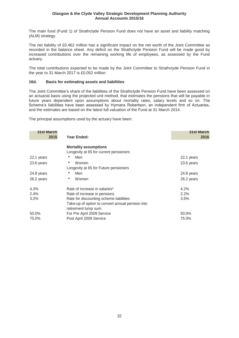The main fund (Fund 1) of Strathclyde Pension Fund does not have an asset and liability matching (ALM) strategy.

The net liability of £0.462 million has a significant impact on the net worth of the Joint Committee as recorded in the balance sheet. Any deficit on the Strathclyde Pension Fund will be made good by increased contributions over the remaining working life of employees, as assessed by the Fund actuary.

The total contributions expected to be made by the Joint Committee to Strathclyde Pension Fund in the year to 31 March 2017 is £0.052 million

## **16d. Basis for estimating assets and liabilities**

The Joint Committee's share of the liabilities of the Strathclyde Pension Fund have been assessed on an actuarial basis using the projected unit method, that estimates the pensions that will be payable in future years dependent upon assumptions about mortality rates, salary levels and so on. The Scheme's liabilities have been assessed by Hymans Robertson, an independent firm of Actuaries, and the estimates are based on the latest full valuation of the Fund at 31 March 2014.

The principal assumptions used by the actuary have been:

| <b>31st March</b><br>2015 | Year Ended:                                      | <b>31st March</b><br>2016 |
|---------------------------|--------------------------------------------------|---------------------------|
|                           | <b>Mortality assumptions</b>                     |                           |
|                           | Longevity at 65 for current pensioners           |                           |
| 22.1 years                | Men                                              | 22.1 years                |
| 23.6 years                | ۰<br>Women                                       | 23.6 years                |
|                           | Longevity at 65 for Future pensioners            |                           |
| 24.8 years                | Men                                              | 24.8 years                |
| 26.2 years                | Women<br>۰                                       | 26.2 years                |
| 4.3%                      | Rate of increase in salaries*                    | 4.2%                      |
| 2.4%                      | Rate of increase in pensions                     | 2.2%                      |
| 3.2%                      | Rate for discounting scheme liabilities          | 3.5%                      |
|                           | Take-up of option to convert annual pension into |                           |
|                           | retirement lump sum:                             |                           |
| 50.0%                     | For Pre April 2009 Service                       | 50.0%                     |
| 75.0%                     | Post April 2009 Service                          | 75.0%                     |